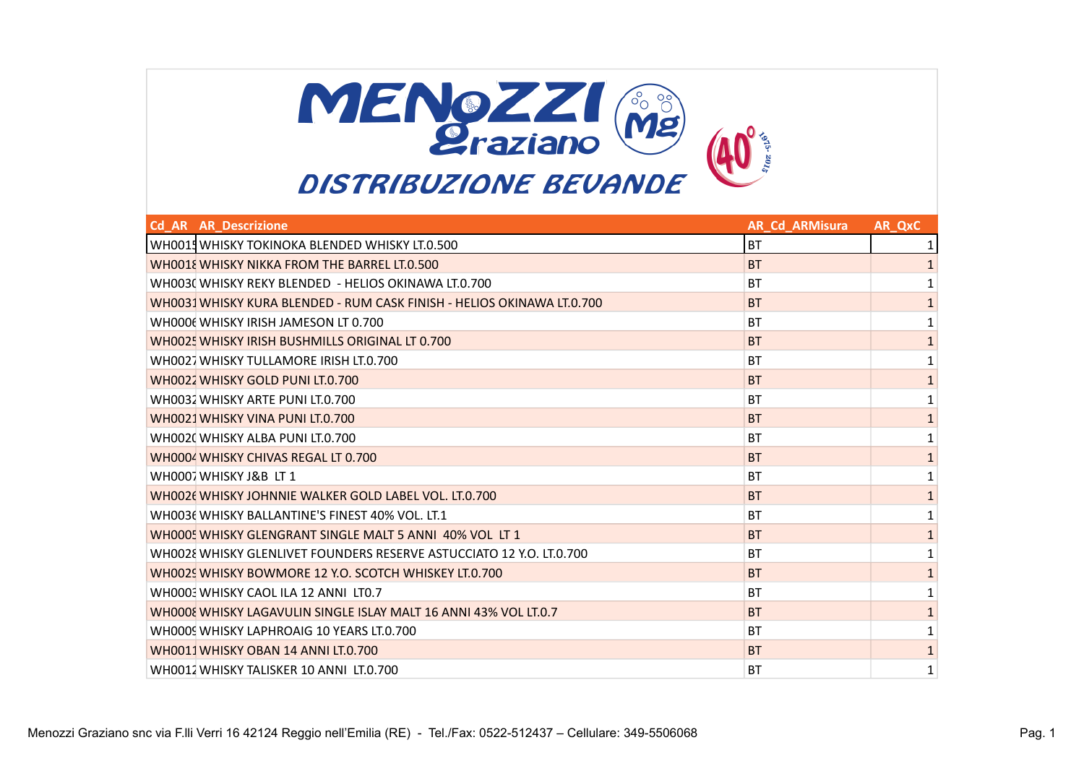

| <b>Cd AR AR Descrizione</b>                                            | <b>AR Cd ARMisura</b> | AR QxC       |
|------------------------------------------------------------------------|-----------------------|--------------|
| WHOO15 WHISKY TOKINOKA BLENDED WHISKY LT.0.500                         | <b>BT</b>             |              |
| WHOO18 WHISKY NIKKA FROM THE BARREL LT.0.500                           | <b>BT</b>             | $\mathbf{1}$ |
| WHOO30 WHISKY REKY BLENDED - HELIOS OKINAWA LT.0.700                   | <b>BT</b>             | 1            |
| WH0031 WHISKY KURA BLENDED - RUM CASK FINISH - HELIOS OKINAWA LT.0.700 | <b>BT</b>             | $\mathbf{1}$ |
| WHOOO( WHISKY IRISH JAMESON LT 0.700                                   | <b>BT</b>             | 1            |
| WHOO25 WHISKY IRISH BUSHMILLS ORIGINAL LT 0.700                        | <b>BT</b>             | $\mathbf{1}$ |
| WHOO21 WHISKY TULLAMORE IRISH LT.0.700                                 | <b>BT</b>             | 1            |
| WHOO22 WHISKY GOLD PUNI LT.0.700                                       | <b>BT</b>             | $\mathbf{1}$ |
| WHOO32 WHISKY ARTE PUNI LT.0.700                                       | <b>BT</b>             | $\mathbf{1}$ |
| WHOO21 WHISKY VINA PUNI LT.0.700                                       | <b>BT</b>             | $\mathbf 1$  |
| WHOO20 WHISKY ALBA PUNI LT.0.700                                       | <b>BT</b>             | 1            |
| WHOOO4 WHISKY CHIVAS REGAL LT 0.700                                    | <b>BT</b>             | $\mathbf 1$  |
| WHOOOJ WHISKY J&B LT 1                                                 | <b>BT</b>             | $\mathbf{1}$ |
| WH0026 WHISKY JOHNNIE WALKER GOLD LABEL VOL. LT.0.700                  | <b>BT</b>             | $\mathbf 1$  |
| WHOO36 WHISKY BALLANTINE'S FINEST 40% VOL. LT.1                        | <b>BT</b>             | 1            |
| WHOOO! WHISKY GLENGRANT SINGLE MALT 5 ANNI 40% VOL LT 1                | <b>BT</b>             | $\mathbf{1}$ |
| WHOO28 WHISKY GLENLIVET FOUNDERS RESERVE ASTUCCIATO 12 Y.O. LT.0.700   | <b>BT</b>             | 1            |
| WH0029 WHISKY BOWMORE 12 Y.O. SCOTCH WHISKEY LT.0.700                  | <b>BT</b>             | $\mathbf 1$  |
| WHOOO WHISKY CAOL ILA 12 ANNI LTO.7                                    | <b>BT</b>             | 1            |
| WHOOOE WHISKY LAGAVULIN SINGLE ISLAY MALT 16 ANNI 43% VOL LT.0.7       | <b>BT</b>             | $\mathbf{1}$ |
| WHOOO! WHISKY LAPHROAIG 10 YEARS LT.0.700                              | <b>BT</b>             | 1            |
| WHOO11 WHISKY OBAN 14 ANNI LT.0.700                                    | <b>BT</b>             | $\mathbf{1}$ |
| WH0012 WHISKY TALISKER 10 ANNI LT.0.700                                | <b>BT</b>             | 1            |